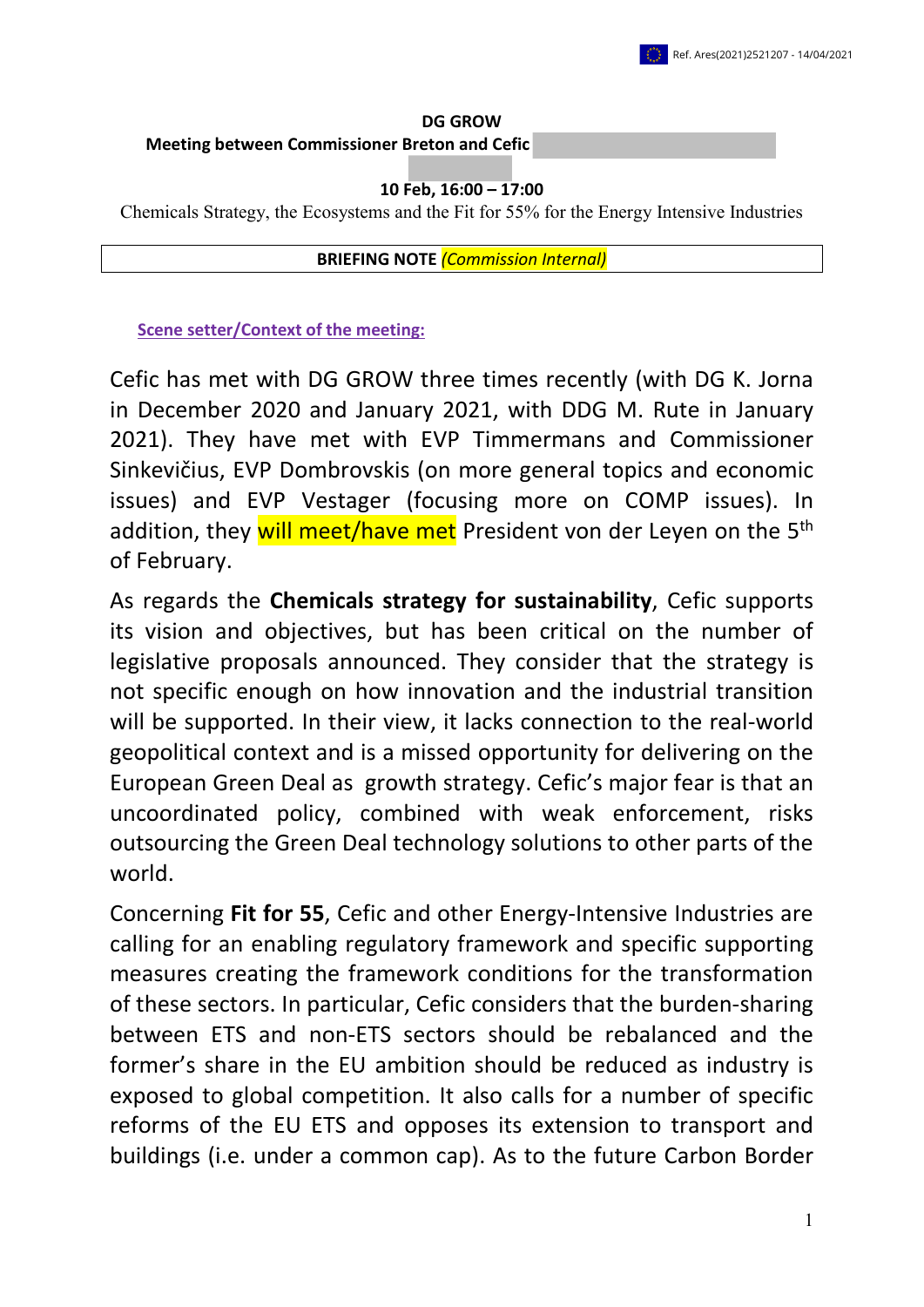#### **DG GROW Meeting between Commissioner Breton and Cefic**

### **10 Feb, 16:00 – 17:00**

Chemicals Strategy, the Ecosystems and the Fit for 55% for the Energy Intensive Industries

**BRIEFING NOTE** *(Commission Internal)*

**Scene setter/Context of the meeting:**

Cefic has met with DG GROW three times recently (with DG K. Jorna in December 2020 and January 2021, with DDG M. Rute in January 2021). They have met with EVP Timmermans and Commissioner Sinkevičius, EVP Dombrovskis (on more general topics and economic issues) and EVP Vestager (focusing more on COMP issues). In addition, they will meet/have met President von der Leyen on the 5<sup>th</sup> of February.

As regards the **Chemicals strategy for sustainability**, Cefic supports its vision and objectives, but has been critical on the number of legislative proposals announced. They consider that the strategy is not specific enough on how innovation and the industrial transition will be supported. In their view, it lacks connection to the real-world geopolitical context and is a missed opportunity for delivering on the European Green Deal as growth strategy. Cefic's major fear is that an uncoordinated policy, combined with weak enforcement, risks outsourcing the Green Deal technology solutions to other parts of the world.

Concerning **Fit for 55**, Cefic and other Energy-Intensive Industries are calling for an enabling regulatory framework and specific supporting measures creating the framework conditions for the transformation of these sectors. In particular, Cefic considers that the burden-sharing between ETS and non-ETS sectors should be rebalanced and the former's share in the EU ambition should be reduced as industry is exposed to global competition. It also calls for a number of specific reforms of the EU ETS and opposes its extension to transport and buildings (i.e. under a common cap). As to the future Carbon Border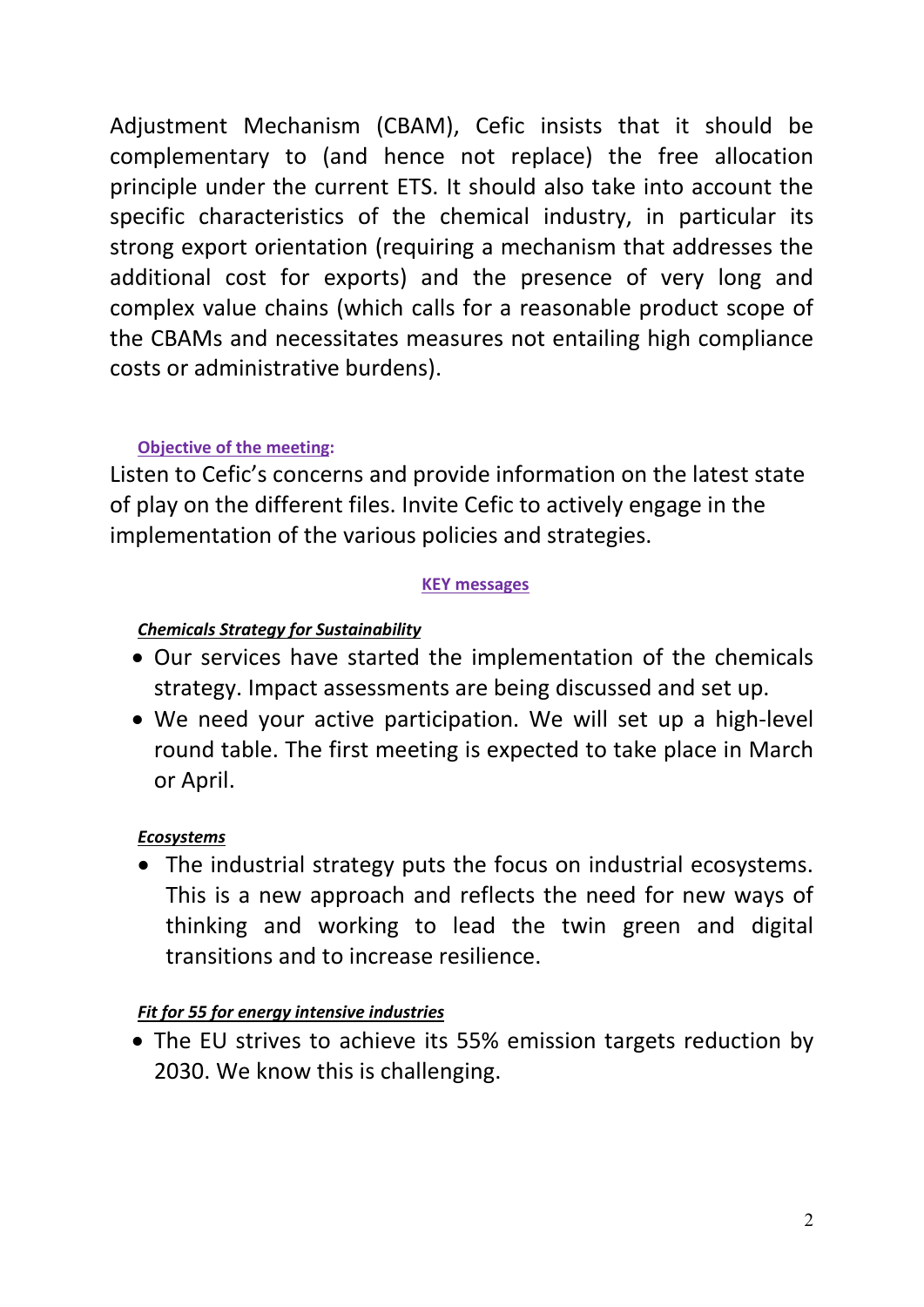Adjustment Mechanism (CBAM), Cefic insists that it should be complementary to (and hence not replace) the free allocation principle under the current ETS. It should also take into account the specific characteristics of the chemical industry, in particular its strong export orientation (requiring a mechanism that addresses the additional cost for exports) and the presence of very long and complex value chains (which calls for a reasonable product scope of the CBAMs and necessitates measures not entailing high compliance costs or administrative burdens).

## **Objective of the meeting:**

Listen to Cefic's concerns and provide information on the latest state of play on the different files. Invite Cefic to actively engage in the implementation of the various policies and strategies.

## **KEY messages**

## *Chemicals Strategy for Sustainability*

- Our services have started the implementation of the chemicals strategy. Impact assessments are being discussed and set up.
- We need your active participation. We will set up a high-level round table. The first meeting is expected to take place in March or April.

## *Ecosystems*

• The industrial strategy puts the focus on industrial ecosystems. This is a new approach and reflects the need for new ways of thinking and working to lead the twin green and digital transitions and to increase resilience.

# *Fit for 55 for energy intensive industries*

• The EU strives to achieve its 55% emission targets reduction by 2030. We know this is challenging.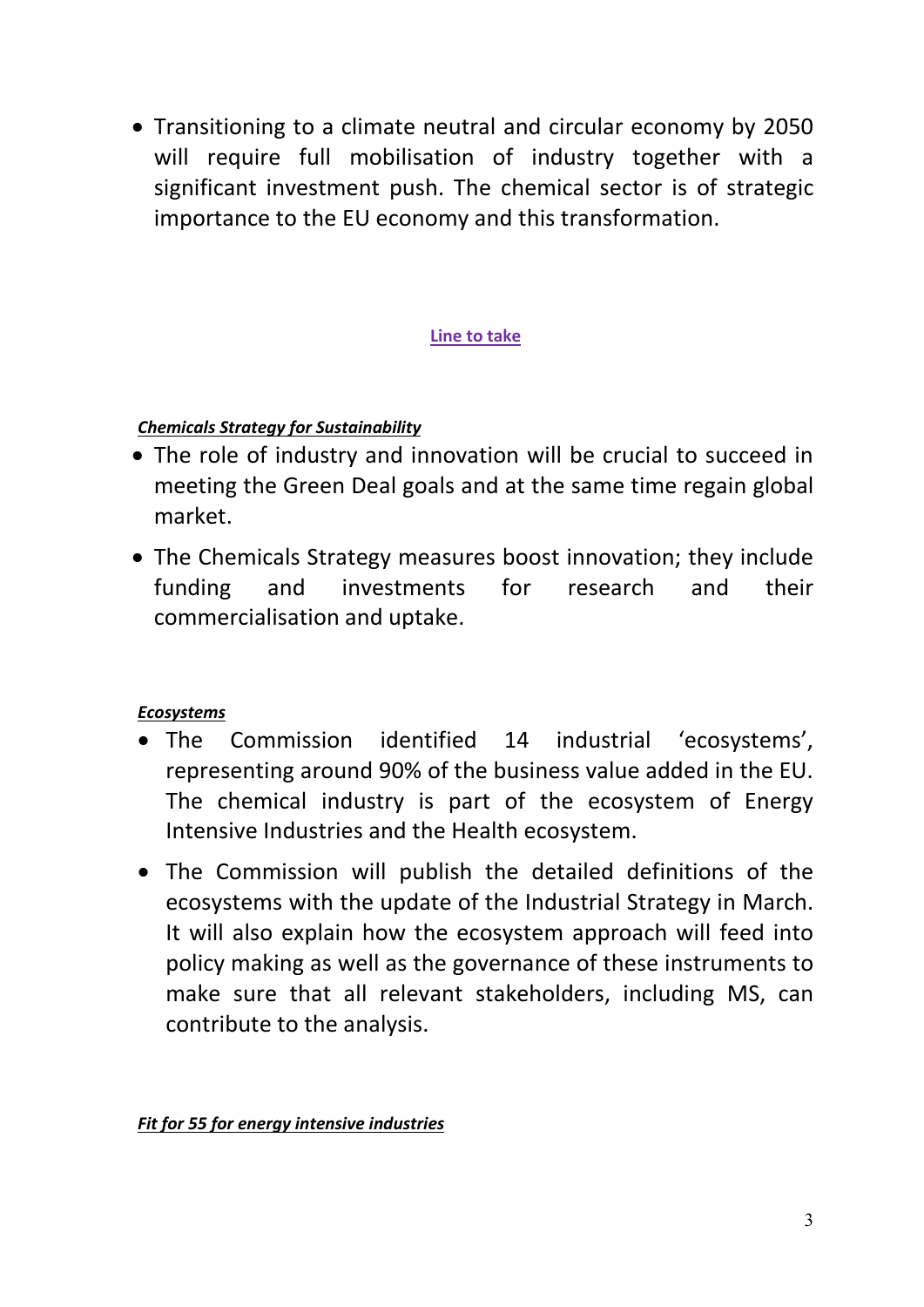• Transitioning to a climate neutral and circular economy by 2050 will require full mobilisation of industry together with a significant investment push. The chemical sector is of strategic importance to the EU economy and this transformation.

## **Line to take**

## *Chemicals Strategy for Sustainability*

- The role of industry and innovation will be crucial to succeed in meeting the Green Deal goals and at the same time regain global market.
- The Chemicals Strategy measures boost innovation; they include funding and investments for research and their commercialisation and uptake.

# *Ecosystems*

- The Commission identified 14 industrial 'ecosystems', representing around 90% of the business value added in the EU. The chemical industry is part of the ecosystem of Energy Intensive Industries and the Health ecosystem.
- The Commission will publish the detailed definitions of the ecosystems with the update of the Industrial Strategy in March. It will also explain how the ecosystem approach will feed into policy making as well as the governance of these instruments to make sure that all relevant stakeholders, including MS, can contribute to the analysis.

## *Fit for 55 for energy intensive industries*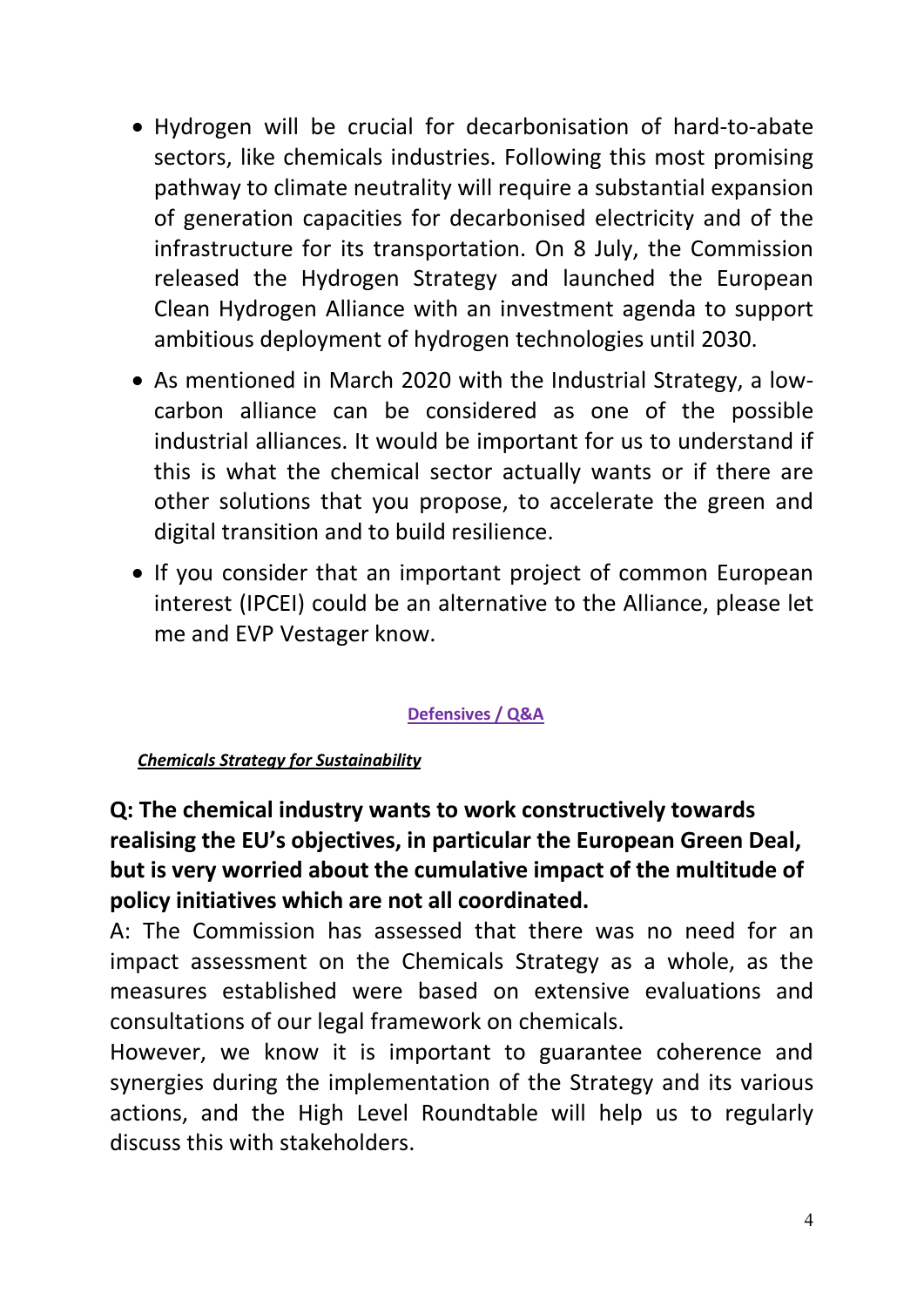- Hydrogen will be crucial for decarbonisation of hard-to-abate sectors, like chemicals industries. Following this most promising pathway to climate neutrality will require a substantial expansion of generation capacities for decarbonised electricity and of the infrastructure for its transportation. On 8 July, the Commission released the Hydrogen Strategy and launched the European Clean Hydrogen Alliance with an investment agenda to support ambitious deployment of hydrogen technologies until 2030.
- As mentioned in March 2020 with the Industrial Strategy, a lowcarbon alliance can be considered as one of the possible industrial alliances. It would be important for us to understand if this is what the chemical sector actually wants or if there are other solutions that you propose, to accelerate the green and digital transition and to build resilience.
- If you consider that an important project of common European interest (IPCEI) could be an alternative to the Alliance, please let me and EVP Vestager know.

## **Defensives / Q&A**

## *Chemicals Strategy for Sustainability*

# **Q: The chemical industry wants to work constructively towards realising the EU's objectives, in particular the European Green Deal, but is very worried about the cumulative impact of the multitude of policy initiatives which are not all coordinated.**

A: The Commission has assessed that there was no need for an impact assessment on the Chemicals Strategy as a whole, as the measures established were based on extensive evaluations and consultations of our legal framework on chemicals.

However, we know it is important to guarantee coherence and synergies during the implementation of the Strategy and its various actions, and the High Level Roundtable will help us to regularly discuss this with stakeholders.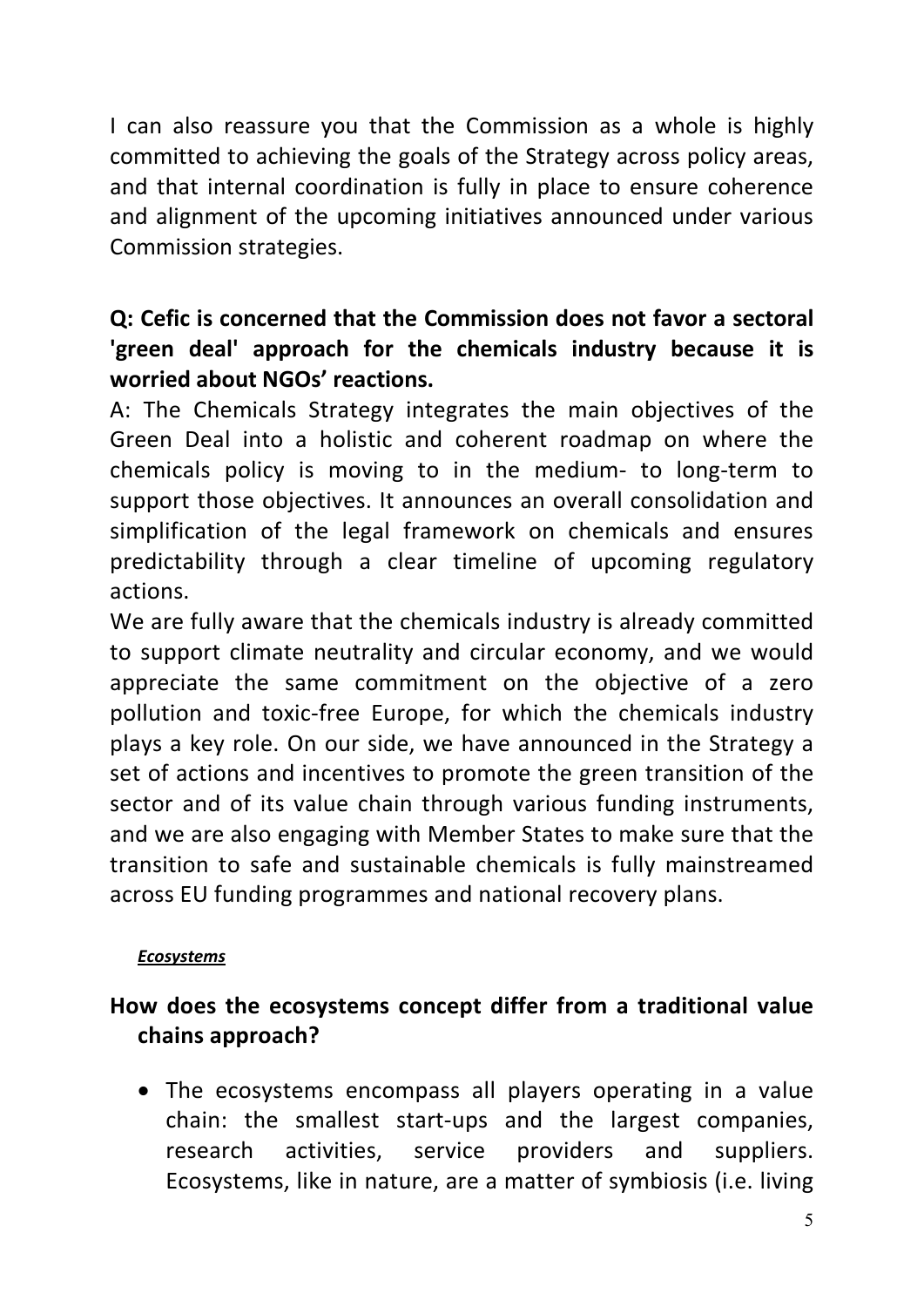I can also reassure you that the Commission as a whole is highly committed to achieving the goals of the Strategy across policy areas, and that internal coordination is fully in place to ensure coherence and alignment of the upcoming initiatives announced under various Commission strategies.

# **Q: Cefic is concerned that the Commission does not favor a sectoral 'green deal' approach for the chemicals industry because it is worried about NGOs' reactions.**

A: The Chemicals Strategy integrates the main objectives of the Green Deal into a holistic and coherent roadmap on where the chemicals policy is moving to in the medium- to long-term to support those objectives. It announces an overall consolidation and simplification of the legal framework on chemicals and ensures predictability through a clear timeline of upcoming regulatory actions.

We are fully aware that the chemicals industry is already committed to support climate neutrality and circular economy, and we would appreciate the same commitment on the objective of a zero pollution and toxic-free Europe, for which the chemicals industry plays a key role. On our side, we have announced in the Strategy a set of actions and incentives to promote the green transition of the sector and of its value chain through various funding instruments, and we are also engaging with Member States to make sure that the transition to safe and sustainable chemicals is fully mainstreamed across EU funding programmes and national recovery plans.

# *Ecosystems*

# **How does the ecosystems concept differ from a traditional value chains approach?**

• The ecosystems encompass all players operating in a value chain: the smallest start-ups and the largest companies, research activities, service providers and suppliers. Ecosystems, like in nature, are a matter of symbiosis (i.e. living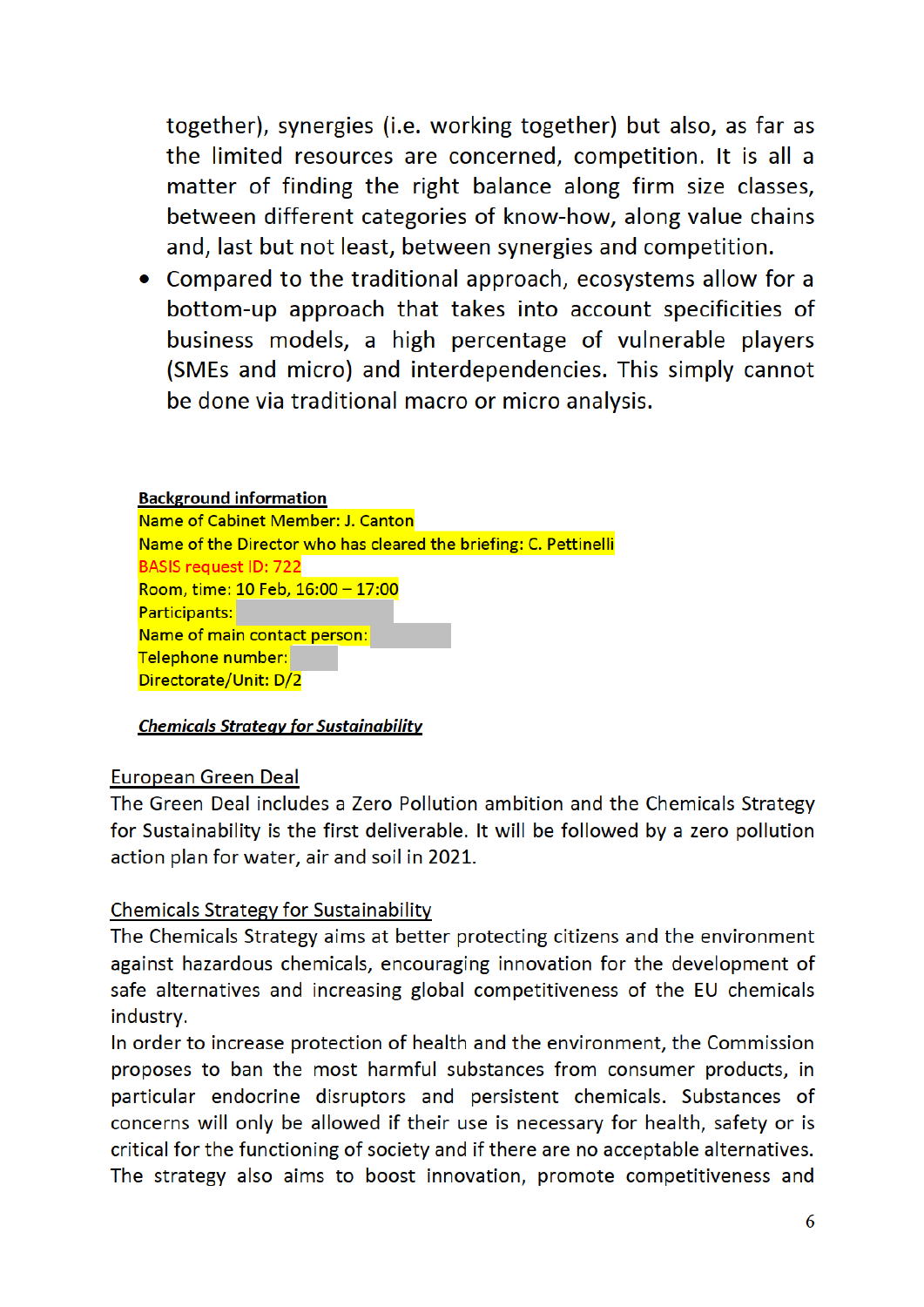together), synergies (i.e. working together) but also, as far as the limited resources are concerned, competition. It is all a matter of finding the right balance along firm size classes, between different categories of know-how, along value chains and, last but not least, between synergies and competition.

• Compared to the traditional approach, ecosystems allow for a bottom-up approach that takes into account specificities of business models, a high percentage of vulnerable players (SMEs and micro) and interdependencies. This simply cannot be done via traditional macro or micro analysis.

### **Background information** Name of Cabinet Member: J. Canton Name of the Director who has cleared the briefing: C. Pettinelli **BASIS request ID: 722** Room, time: 10 Feb, 16:00 - 17:00 Participants: Name of main contact person: Telephone number: Directorate/Unit: D/2

### **Chemicals Strategy for Sustainability**

### **European Green Deal**

The Green Deal includes a Zero Pollution ambition and the Chemicals Strategy for Sustainability is the first deliverable. It will be followed by a zero pollution action plan for water, air and soil in 2021.

### **Chemicals Strategy for Sustainability**

The Chemicals Strategy aims at better protecting citizens and the environment against hazardous chemicals, encouraging innovation for the development of safe alternatives and increasing global competitiveness of the EU chemicals industry.

In order to increase protection of health and the environment, the Commission proposes to ban the most harmful substances from consumer products, in particular endocrine disruptors and persistent chemicals. Substances of concerns will only be allowed if their use is necessary for health, safety or is critical for the functioning of society and if there are no acceptable alternatives. The strategy also aims to boost innovation, promote competitiveness and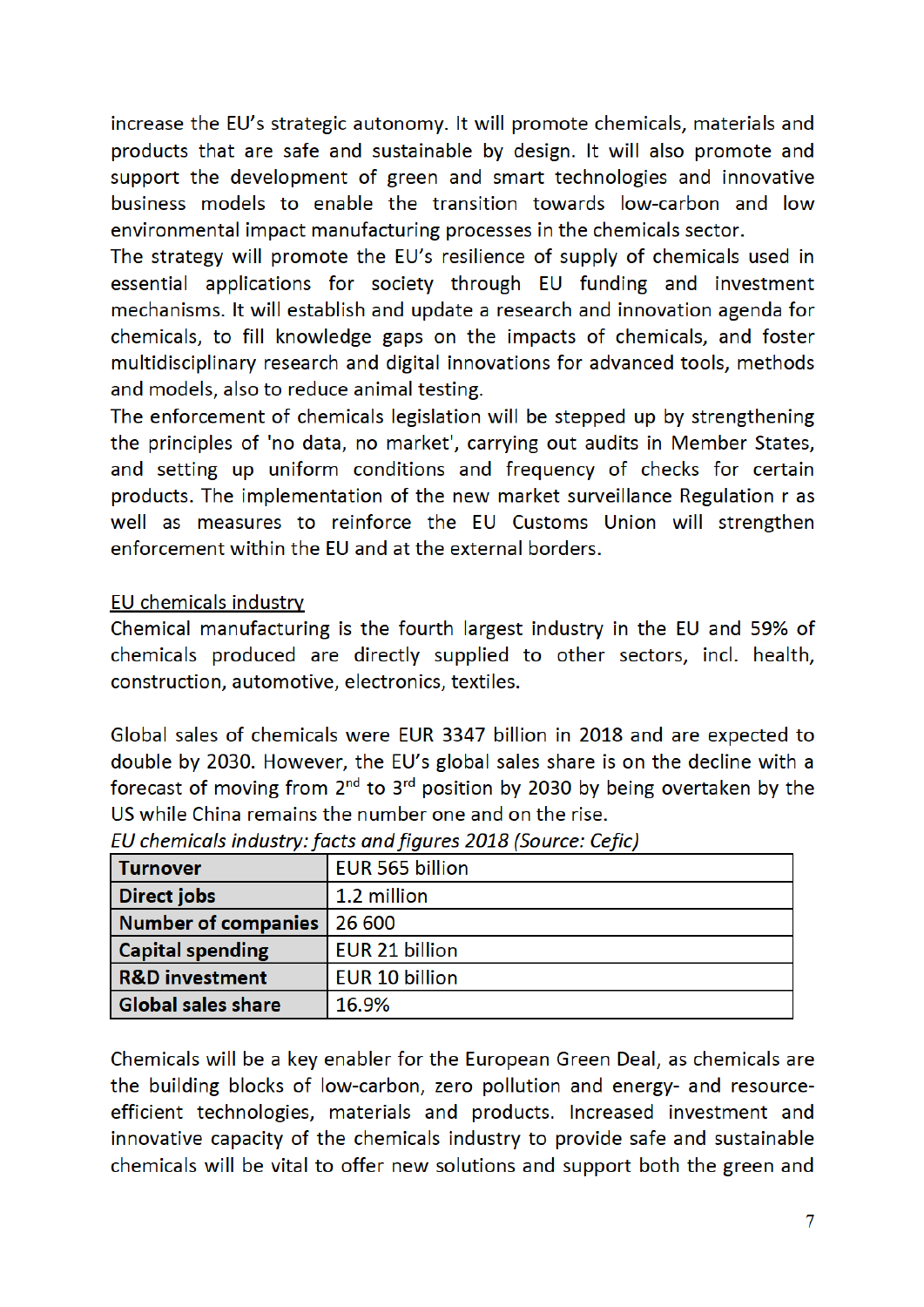increase the EU's strategic autonomy. It will promote chemicals, materials and products that are safe and sustainable by design. It will also promote and support the development of green and smart technologies and innovative business models to enable the transition towards low-carbon and low environmental impact manufacturing processes in the chemicals sector.

The strategy will promote the EU's resilience of supply of chemicals used in essential applications for society through EU funding and investment mechanisms. It will establish and update a research and innovation agenda for chemicals, to fill knowledge gaps on the impacts of chemicals, and foster multidisciplinary research and digital innovations for advanced tools, methods and models, also to reduce animal testing.

The enforcement of chemicals legislation will be stepped up by strengthening the principles of 'no data, no market', carrying out audits in Member States, and setting up uniform conditions and frequency of checks for certain products. The implementation of the new market surveillance Regulation r as well as measures to reinforce the EU Customs Union will strengthen enforcement within the EU and at the external borders.

## **EU chemicals industry**

Chemical manufacturing is the fourth largest industry in the EU and 59% of chemicals produced are directly supplied to other sectors, incl. health, construction, automotive, electronics, textiles.

Global sales of chemicals were EUR 3347 billion in 2018 and are expected to double by 2030. However, the EU's global sales share is on the decline with a forecast of moving from  $2^{nd}$  to  $3^{rd}$  position by 2030 by being overtaken by the US while China remains the number one and on the rise.

| <b>Turnover</b>           | EUR 565 billion       |
|---------------------------|-----------------------|
| <b>Direct jobs</b>        | 1.2 million           |
| Number of companies       | 26 600                |
| <b>Capital spending</b>   | EUR 21 billion        |
| <b>R&amp;D</b> investment | <b>EUR 10 billion</b> |
| <b>Global sales share</b> | 16.9%                 |

EU chemicals industry: facts and figures 2018 (Source: Cefic)

Chemicals will be a key enabler for the European Green Deal, as chemicals are the building blocks of low-carbon, zero pollution and energy- and resourceefficient technologies, materials and products. Increased investment and innovative capacity of the chemicals industry to provide safe and sustainable chemicals will be vital to offer new solutions and support both the green and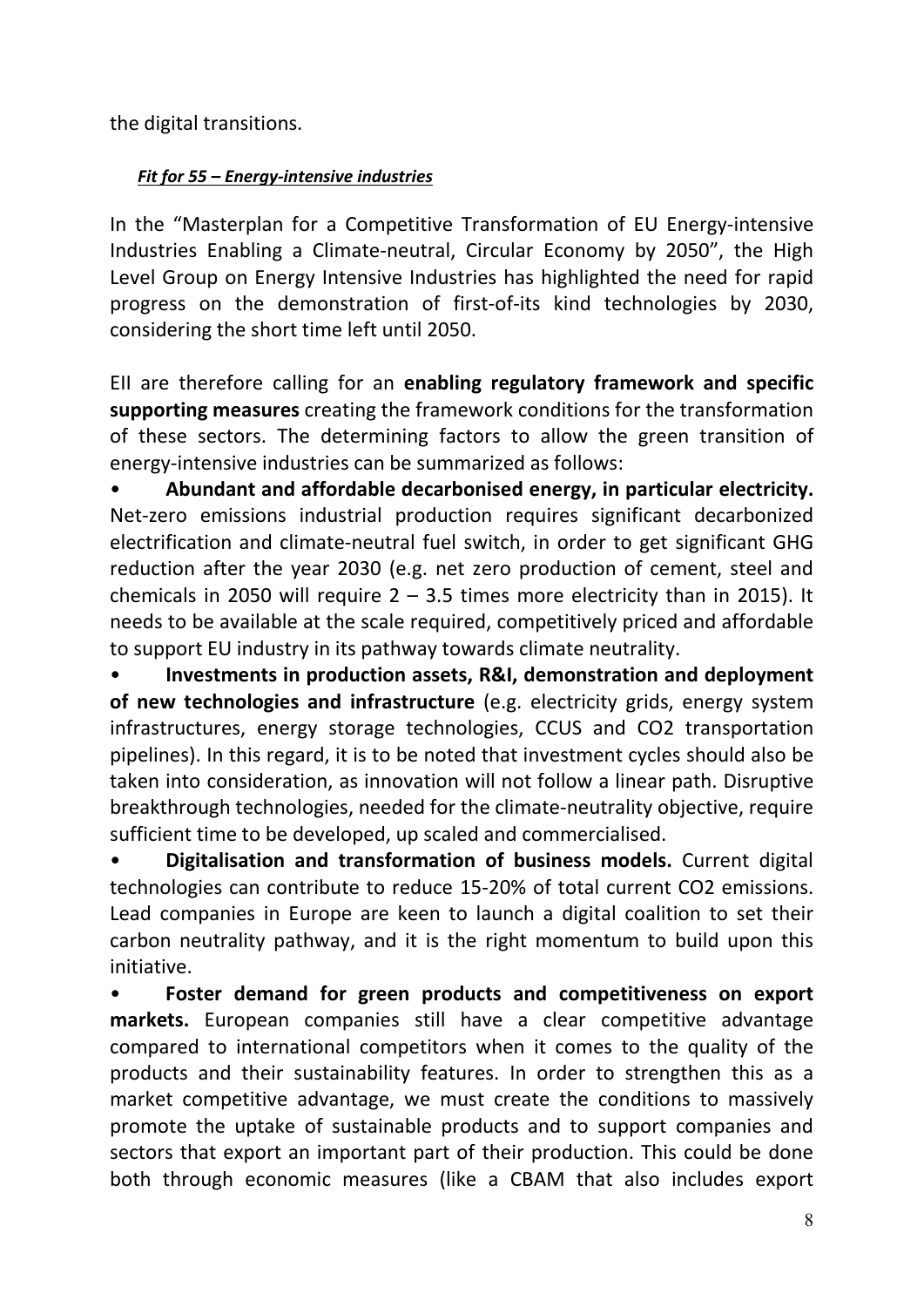the digital transitions.

## *Fit for 55 – Energy-intensive industries*

In the "Masterplan for a Competitive Transformation of EU Energy-intensive Industries Enabling a Climate-neutral, Circular Economy by 2050", the High Level Group on Energy Intensive Industries has highlighted the need for rapid progress on the demonstration of first-of-its kind technologies by 2030, considering the short time left until 2050.

EII are therefore calling for an **enabling regulatory framework and specific supporting measures** creating the framework conditions for the transformation of these sectors. The determining factors to allow the green transition of energy-intensive industries can be summarized as follows:

• **Abundant and affordable decarbonised energy, in particular electricity.** Net-zero emissions industrial production requires significant decarbonized electrification and climate-neutral fuel switch, in order to get significant GHG reduction after the year 2030 (e.g. net zero production of cement, steel and chemicals in 2050 will require  $2 - 3.5$  times more electricity than in 2015). It needs to be available at the scale required, competitively priced and affordable to support EU industry in its pathway towards climate neutrality.

• **Investments in production assets, R&I, demonstration and deployment of new technologies and infrastructure** (e.g. electricity grids, energy system infrastructures, energy storage technologies, CCUS and CO2 transportation pipelines). In this regard, it is to be noted that investment cycles should also be taken into consideration, as innovation will not follow a linear path. Disruptive breakthrough technologies, needed for the climate-neutrality objective, require sufficient time to be developed, up scaled and commercialised.

• **Digitalisation and transformation of business models.** Current digital technologies can contribute to reduce 15-20% of total current CO2 emissions. Lead companies in Europe are keen to launch a digital coalition to set their carbon neutrality pathway, and it is the right momentum to build upon this initiative.

• **Foster demand for green products and competitiveness on export markets.** European companies still have a clear competitive advantage compared to international competitors when it comes to the quality of the products and their sustainability features. In order to strengthen this as a market competitive advantage, we must create the conditions to massively promote the uptake of sustainable products and to support companies and sectors that export an important part of their production. This could be done both through economic measures (like a CBAM that also includes export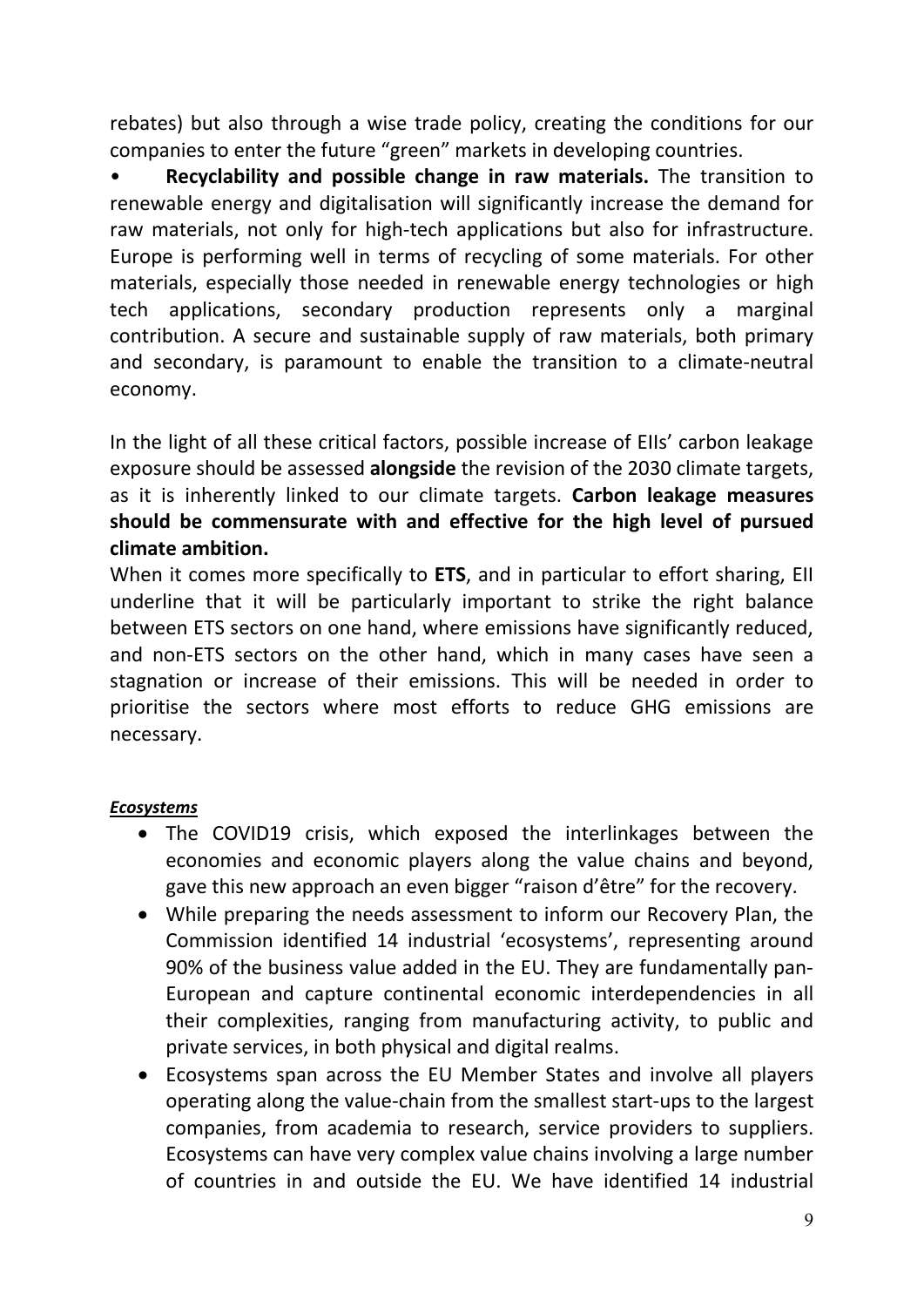rebates) but also through a wise trade policy, creating the conditions for our companies to enter the future "green" markets in developing countries.

• **Recyclability and possible change in raw materials.** The transition to renewable energy and digitalisation will significantly increase the demand for raw materials, not only for high-tech applications but also for infrastructure. Europe is performing well in terms of recycling of some materials. For other materials, especially those needed in renewable energy technologies or high tech applications, secondary production represents only a marginal contribution. A secure and sustainable supply of raw materials, both primary and secondary, is paramount to enable the transition to a climate-neutral economy.

In the light of all these critical factors, possible increase of EIIs' carbon leakage exposure should be assessed **alongside** the revision of the 2030 climate targets, as it is inherently linked to our climate targets. **Carbon leakage measures should be commensurate with and effective for the high level of pursued climate ambition.**

When it comes more specifically to **ETS**, and in particular to effort sharing, EII underline that it will be particularly important to strike the right balance between ETS sectors on one hand, where emissions have significantly reduced, and non-ETS sectors on the other hand, which in many cases have seen a stagnation or increase of their emissions. This will be needed in order to prioritise the sectors where most efforts to reduce GHG emissions are necessary.

### *Ecosystems*

- The COVID19 crisis, which exposed the interlinkages between the economies and economic players along the value chains and beyond, gave this new approach an even bigger "raison d'être" for the recovery.
- While preparing the needs assessment to inform our Recovery Plan, the Commission identified 14 industrial 'ecosystems', representing around 90% of the business value added in the EU. They are fundamentally pan-European and capture continental economic interdependencies in all their complexities, ranging from manufacturing activity, to public and private services, in both physical and digital realms.
- Ecosystems span across the EU Member States and involve all players operating along the value-chain from the smallest start-ups to the largest companies, from academia to research, service providers to suppliers. Ecosystems can have very complex value chains involving a large number of countries in and outside the EU. We have identified 14 industrial